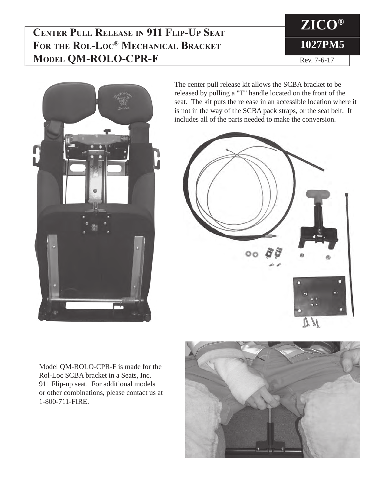## **Center Pull Release in 911 Flip-Up Seat For the Rol-Loc® Mechanical Bracket Model QM-ROLO-CPR-F**





The center pull release kit allows the SCBA bracket to be released by pulling a "T" handle located on the front of the seat. The kit puts the release in an accessible location where it is not in the way of the SCBA pack straps, or the seat belt. It includes all of the parts needed to make the conversion.



Model QM-ROLO-CPR-F is made for the Rol-Loc SCBA bracket in a Seats, Inc. 911 Flip-up seat. For additional models or other combinations, please contact us at 1-800-711-FIRE.

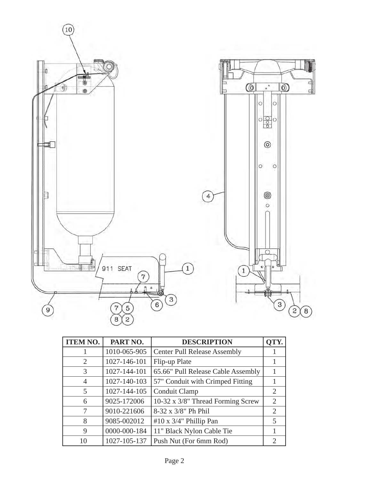

| <b>ITEM NO.</b>             | PART NO.     | <b>DESCRIPTION</b>                  | QTY.                        |
|-----------------------------|--------------|-------------------------------------|-----------------------------|
|                             | 1010-065-905 | <b>Center Pull Release Assembly</b> |                             |
| $\mathcal{D}_{\mathcal{L}}$ | 1027-146-101 | Flip-up Plate                       |                             |
| 3                           | 1027-144-101 | 65.66" Pull Release Cable Assembly  |                             |
| $\overline{4}$              | 1027-140-103 | 57" Conduit with Crimped Fitting    |                             |
| 5                           | 1027-144-105 | Conduit Clamp                       | 2                           |
| 6                           | 9025-172006  | 10-32 x 3/8" Thread Forming Screw   | 2                           |
| 7                           | 9010-221606  | 8-32 x 3/8" Ph Phil                 | $\mathcal{D}_{\mathcal{L}}$ |
| 8                           | 9085-002012  | #10 x $3/4$ " Phillip Pan           | 5                           |
| 9                           | 0000-000-184 | 11" Black Nylon Cable Tie           |                             |
| 10                          | 1027-105-137 | Push Nut (For 6mm Rod)              | $\mathcal{D}_{\mathcal{L}}$ |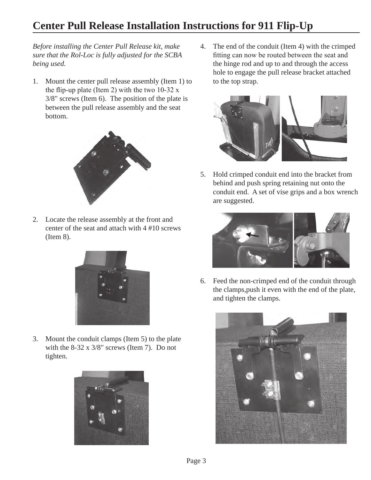## **Center Pull Release Installation Instructions for 911 Flip-Up**

*Before installing the Center Pull Release kit, make sure that the Rol-Loc is fully adjusted for the SCBA being used.*

1. Mount the center pull release assembly (Item 1) to the flip-up plate (Item 2) with the two  $10-32 \text{ x}$ 3/8" screws (Item 6). The position of the plate is between the pull release assembly and the seat bottom.



2. Locate the release assembly at the front and center of the seat and attach with 4 #10 screws (Item 8).



3. Mount the conduit clamps (Item 5) to the plate with the 8-32 x 3/8" screws (Item 7). Do not tighten.



4. The end of the conduit (Item 4) with the crimped fitting can now be routed between the seat and the hinge rod and up to and through the access hole to engage the pull release bracket attached to the top strap.



5. Hold crimped conduit end into the bracket from behind and push spring retaining nut onto the conduit end. A set of vise grips and a box wrench are suggested.



6. Feed the non-crimped end of the conduit through the clamps,push it even with the end of the plate, and tighten the clamps.